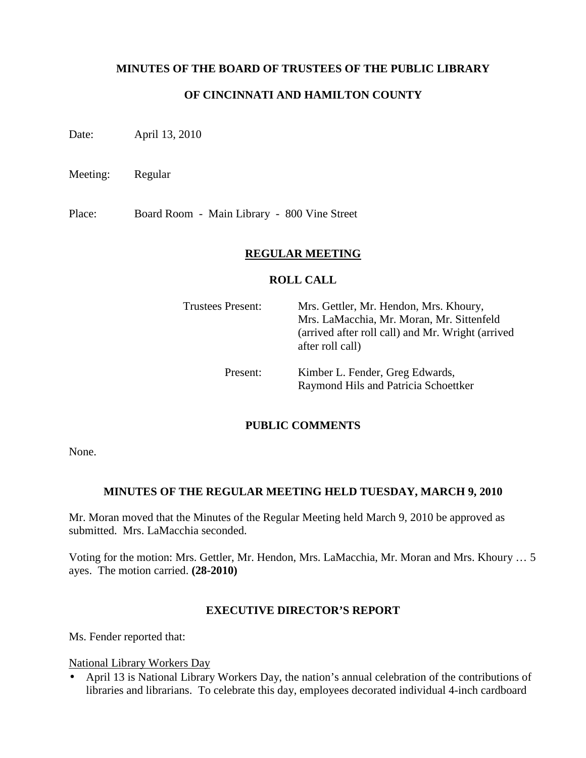### **MINUTES OF THE BOARD OF TRUSTEES OF THE PUBLIC LIBRARY**

### **OF CINCINNATI AND HAMILTON COUNTY**

Date: April 13, 2010

Meeting: Regular

Place: Board Room - Main Library - 800 Vine Street

#### **REGULAR MEETING**

#### **ROLL CALL**

| <b>Trustees Present:</b> | Mrs. Gettler, Mr. Hendon, Mrs. Khoury,<br>Mrs. LaMacchia, Mr. Moran, Mr. Sittenfeld<br>(arrived after roll call) and Mr. Wright (arrived<br>after roll call) |
|--------------------------|--------------------------------------------------------------------------------------------------------------------------------------------------------------|
| Present:                 | Kimber L. Fender, Greg Edwards,<br>Raymond Hils and Patricia Schoettker                                                                                      |

#### **PUBLIC COMMENTS**

None.

#### **MINUTES OF THE REGULAR MEETING HELD TUESDAY, MARCH 9, 2010**

Mr. Moran moved that the Minutes of the Regular Meeting held March 9, 2010 be approved as submitted. Mrs. LaMacchia seconded.

Voting for the motion: Mrs. Gettler, Mr. Hendon, Mrs. LaMacchia, Mr. Moran and Mrs. Khoury … 5 ayes. The motion carried. **(28-2010)**

#### **EXECUTIVE DIRECTOR'S REPORT**

Ms. Fender reported that:

National Library Workers Day

• April 13 is National Library Workers Day, the nation's annual celebration of the contributions of libraries and librarians. To celebrate this day, employees decorated individual 4-inch cardboard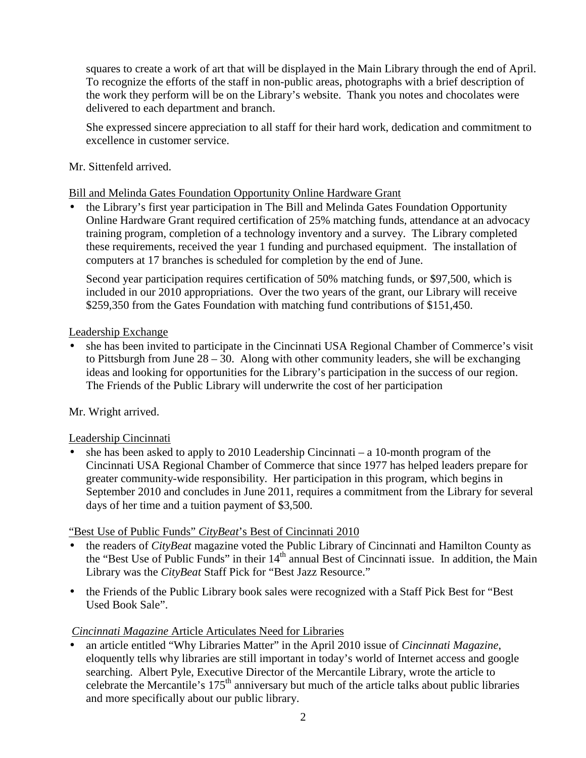squares to create a work of art that will be displayed in the Main Library through the end of April. To recognize the efforts of the staff in non-public areas, photographs with a brief description of the work they perform will be on the Library's website. Thank you notes and chocolates were delivered to each department and branch.

She expressed sincere appreciation to all staff for their hard work, dedication and commitment to excellence in customer service.

## Mr. Sittenfeld arrived.

Bill and Melinda Gates Foundation Opportunity Online Hardware Grant

• the Library's first year participation in The Bill and Melinda Gates Foundation Opportunity Online Hardware Grant required certification of 25% matching funds, attendance at an advocacy training program, completion of a technology inventory and a survey. The Library completed these requirements, received the year 1 funding and purchased equipment. The installation of computers at 17 branches is scheduled for completion by the end of June.

Second year participation requires certification of 50% matching funds, or \$97,500, which is included in our 2010 appropriations. Over the two years of the grant, our Library will receive \$259,350 from the Gates Foundation with matching fund contributions of \$151,450.

## Leadership Exchange

• she has been invited to participate in the Cincinnati USA Regional Chamber of Commerce's visit to Pittsburgh from June 28 – 30. Along with other community leaders, she will be exchanging ideas and looking for opportunities for the Library's participation in the success of our region. The Friends of the Public Library will underwrite the cost of her participation

# Mr. Wright arrived.

# Leadership Cincinnati

she has been asked to apply to  $2010$  Leadership Cincinnati – a 10-month program of the Cincinnati USA Regional Chamber of Commerce that since 1977 has helped leaders prepare for greater community-wide responsibility. Her participation in this program, which begins in September 2010 and concludes in June 2011, requires a commitment from the Library for several days of her time and a tuition payment of \$3,500.

# "Best Use of Public Funds" *CityBeat*'s Best of Cincinnati 2010

- the readers of *CityBeat* magazine voted the Public Library of Cincinnati and Hamilton County as the "Best Use of Public Funds" in their 14<sup>th</sup> annual Best of Cincinnati issue. In addition, the Main Library was the *CityBeat* Staff Pick for "Best Jazz Resource."
- the Friends of the Public Library book sales were recognized with a Staff Pick Best for "Best" Used Book Sale".

# *Cincinnati Magazine* Article Articulates Need for Libraries

• an article entitled "Why Libraries Matter" in the April 2010 issue of *Cincinnati Magazine*, eloquently tells why libraries are still important in today's world of Internet access and google searching. Albert Pyle, Executive Director of the Mercantile Library, wrote the article to celebrate the Mercantile's 175<sup>th</sup> anniversary but much of the article talks about public libraries and more specifically about our public library.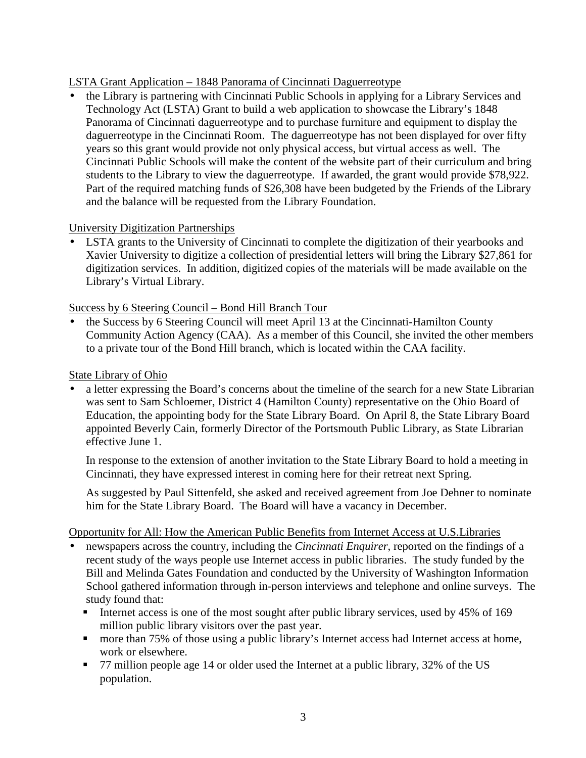# LSTA Grant Application – 1848 Panorama of Cincinnati Daguerreotype

• the Library is partnering with Cincinnati Public Schools in applying for a Library Services and Technology Act (LSTA) Grant to build a web application to showcase the Library's 1848 Panorama of Cincinnati daguerreotype and to purchase furniture and equipment to display the daguerreotype in the Cincinnati Room. The daguerreotype has not been displayed for over fifty years so this grant would provide not only physical access, but virtual access as well. The Cincinnati Public Schools will make the content of the website part of their curriculum and bring students to the Library to view the daguerreotype. If awarded, the grant would provide \$78,922. Part of the required matching funds of \$26,308 have been budgeted by the Friends of the Library and the balance will be requested from the Library Foundation.

### University Digitization Partnerships

• LSTA grants to the University of Cincinnati to complete the digitization of their yearbooks and Xavier University to digitize a collection of presidential letters will bring the Library \$27,861 for digitization services. In addition, digitized copies of the materials will be made available on the Library's Virtual Library.

### Success by 6 Steering Council – Bond Hill Branch Tour

• the Success by 6 Steering Council will meet April 13 at the Cincinnati-Hamilton County Community Action Agency (CAA). As a member of this Council, she invited the other members to a private tour of the Bond Hill branch, which is located within the CAA facility.

### State Library of Ohio

• a letter expressing the Board's concerns about the timeline of the search for a new State Librarian was sent to Sam Schloemer, District 4 (Hamilton County) representative on the Ohio Board of Education, the appointing body for the State Library Board. On April 8, the State Library Board appointed Beverly Cain, formerly Director of the Portsmouth Public Library, as State Librarian effective June 1.

In response to the extension of another invitation to the State Library Board to hold a meeting in Cincinnati, they have expressed interest in coming here for their retreat next Spring.

As suggested by Paul Sittenfeld, she asked and received agreement from Joe Dehner to nominate him for the State Library Board. The Board will have a vacancy in December.

#### Opportunity for All: How the American Public Benefits from Internet Access at U.S.Libraries

- newspapers across the country, including the *Cincinnati Enquirer*, reported on the findings of a recent study of the ways people use Internet access in public libraries. The study funded by the Bill and Melinda Gates Foundation and conducted by the University of Washington Information School gathered information through in-person interviews and telephone and online surveys. The study found that:
	- Internet access is one of the most sought after public library services, used by 45% of 169 million public library visitors over the past year.
	- more than 75% of those using a public library's Internet access had Internet access at home, work or elsewhere.
	- 77 million people age 14 or older used the Internet at a public library, 32% of the US population.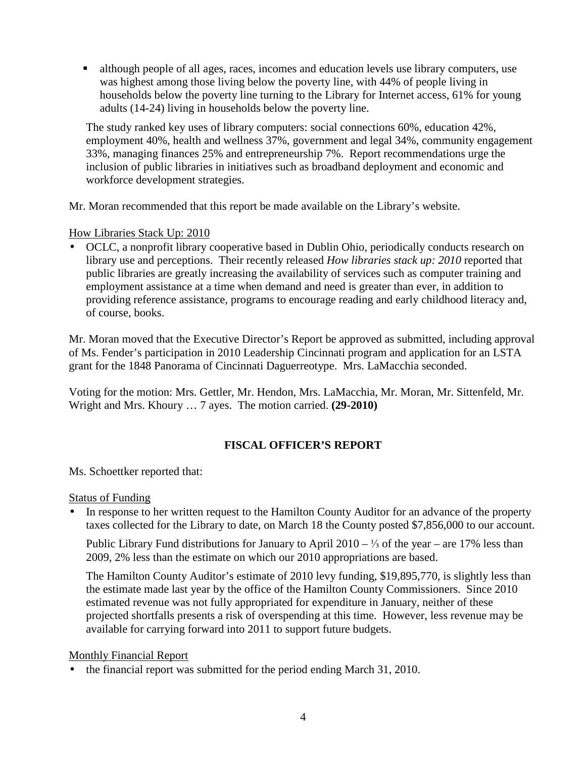although people of all ages, races, incomes and education levels use library computers, use was highest among those living below the poverty line, with 44% of people living in households below the poverty line turning to the Library for Internet access, 61% for young adults (14-24) living in households below the poverty line.

The study ranked key uses of library computers: social connections 60%, education 42%, employment 40%, health and wellness 37%, government and legal 34%, community engagement 33%, managing finances 25% and entrepreneurship 7%. Report recommendations urge the inclusion of public libraries in initiatives such as broadband deployment and economic and workforce development strategies.

Mr. Moran recommended that this report be made available on the Library's website.

How Libraries Stack Up: 2010

• OCLC, a nonprofit library cooperative based in Dublin Ohio, periodically conducts research on library use and perceptions. Their recently released *How libraries stack up: 2010* reported that public libraries are greatly increasing the availability of services such as computer training and employment assistance at a time when demand and need is greater than ever, in addition to providing reference assistance, programs to encourage reading and early childhood literacy and, of course, books.

Mr. Moran moved that the Executive Director's Report be approved as submitted, including approval of Ms. Fender's participation in 2010 Leadership Cincinnati program and application for an LSTA grant for the 1848 Panorama of Cincinnati Daguerreotype. Mrs. LaMacchia seconded.

Voting for the motion: Mrs. Gettler, Mr. Hendon, Mrs. LaMacchia, Mr. Moran, Mr. Sittenfeld, Mr. Wright and Mrs. Khoury … 7 ayes. The motion carried. **(29-2010)**

# **FISCAL OFFICER'S REPORT**

Ms. Schoettker reported that:

#### Status of Funding

• In response to her written request to the Hamilton County Auditor for an advance of the property taxes collected for the Library to date, on March 18 the County posted \$7,856,000 to our account.

Public Library Fund distributions for January to April 2010 – ¼ of the year – are 17% less than 2009, 2% less than the estimate on which our 2010 appropriations are based.

The Hamilton County Auditor's estimate of 2010 levy funding, \$19,895,770, is slightly less than the estimate made last year by the office of the Hamilton County Commissioners. Since 2010 estimated revenue was not fully appropriated for expenditure in January, neither of these projected shortfalls presents a risk of overspending at this time. However, less revenue may be available for carrying forward into 2011 to support future budgets.

#### Monthly Financial Report

• the financial report was submitted for the period ending March 31, 2010.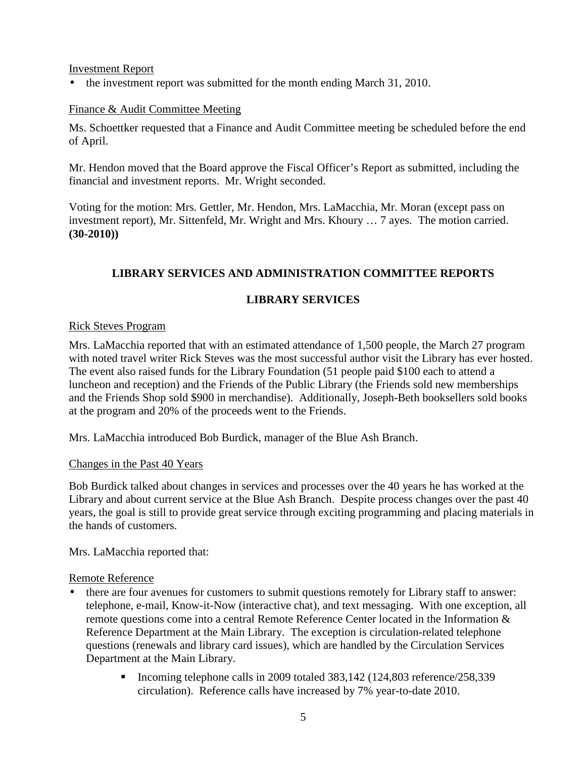Investment Report

• the investment report was submitted for the month ending March 31, 2010.

### Finance & Audit Committee Meeting

Ms. Schoettker requested that a Finance and Audit Committee meeting be scheduled before the end of April.

Mr. Hendon moved that the Board approve the Fiscal Officer's Report as submitted, including the financial and investment reports. Mr. Wright seconded.

Voting for the motion: Mrs. Gettler, Mr. Hendon, Mrs. LaMacchia, Mr. Moran (except pass on investment report), Mr. Sittenfeld, Mr. Wright and Mrs. Khoury … 7 ayes. The motion carried. **(30-2010))**

# **LIBRARY SERVICES AND ADMINISTRATION COMMITTEE REPORTS**

## **LIBRARY SERVICES**

#### Rick Steves Program

Mrs. LaMacchia reported that with an estimated attendance of 1,500 people, the March 27 program with noted travel writer Rick Steves was the most successful author visit the Library has ever hosted. The event also raised funds for the Library Foundation (51 people paid \$100 each to attend a luncheon and reception) and the Friends of the Public Library (the Friends sold new memberships and the Friends Shop sold \$900 in merchandise). Additionally, Joseph-Beth booksellers sold books at the program and 20% of the proceeds went to the Friends.

Mrs. LaMacchia introduced Bob Burdick, manager of the Blue Ash Branch.

#### Changes in the Past 40 Years

Bob Burdick talked about changes in services and processes over the 40 years he has worked at the Library and about current service at the Blue Ash Branch. Despite process changes over the past 40 years, the goal is still to provide great service through exciting programming and placing materials in the hands of customers.

Mrs. LaMacchia reported that:

#### Remote Reference

- there are four avenues for customers to submit questions remotely for Library staff to answer: telephone, e-mail, Know-it-Now (interactive chat), and text messaging. With one exception, all remote questions come into a central Remote Reference Center located in the Information & Reference Department at the Main Library. The exception is circulation-related telephone questions (renewals and library card issues), which are handled by the Circulation Services Department at the Main Library.
	- Incoming telephone calls in 2009 totaled  $383,142$  (124,803 reference/258,339) circulation). Reference calls have increased by 7% year-to-date 2010.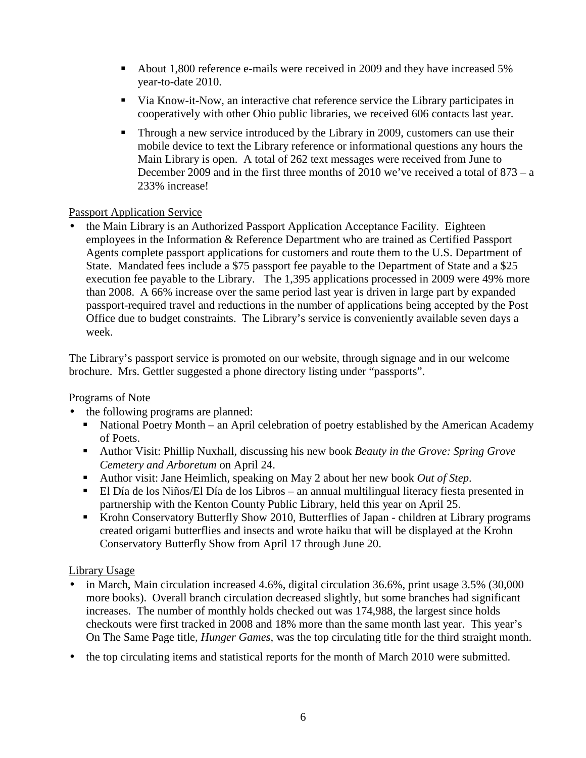- About 1,800 reference e-mails were received in 2009 and they have increased 5% year-to-date 2010.
- Via Know-it-Now, an interactive chat reference service the Library participates in cooperatively with other Ohio public libraries, we received 606 contacts last year.
- Through a new service introduced by the Library in 2009, customers can use their mobile device to text the Library reference or informational questions any hours the Main Library is open. A total of 262 text messages were received from June to December 2009 and in the first three months of 2010 we've received a total of 873 – a 233% increase!

## Passport Application Service

• the Main Library is an Authorized Passport Application Acceptance Facility. Eighteen employees in the Information & Reference Department who are trained as Certified Passport Agents complete passport applications for customers and route them to the U.S. Department of State. Mandated fees include a \$75 passport fee payable to the Department of State and a \$25 execution fee payable to the Library. The 1,395 applications processed in 2009 were 49% more than 2008. A 66% increase over the same period last year is driven in large part by expanded passport-required travel and reductions in the number of applications being accepted by the Post Office due to budget constraints. The Library's service is conveniently available seven days a week.

The Library's passport service is promoted on our website, through signage and in our welcome brochure. Mrs. Gettler suggested a phone directory listing under "passports".

### Programs of Note

- the following programs are planned:
	- National Poetry Month an April celebration of poetry established by the American Academy of Poets.
	- Author Visit: Phillip Nuxhall*,* discussing his new book *Beauty in the Grove: Spring Grove Cemetery and Arboretum* on April 24.
	- Author visit: Jane Heimlich, speaking on May 2 about her new book *Out of Step*.
	- El Día de los Niños/El Día de los Libros an annual multilingual literacy fiesta presented in partnership with the Kenton County Public Library, held this year on April 25.
	- Krohn Conservatory Butterfly Show 2010, Butterflies of Japan children at Library programs created origami butterflies and insects and wrote haiku that will be displayed at the Krohn Conservatory Butterfly Show from April 17 through June 20.

# Library Usage

- in March, Main circulation increased 4.6%, digital circulation 36.6%, print usage 3.5% (30,000) more books). Overall branch circulation decreased slightly, but some branches had significant increases. The number of monthly holds checked out was 174,988, the largest since holds checkouts were first tracked in 2008 and 18% more than the same month last year. This year's On The Same Page title, *Hunger Games,* was the top circulating title for the third straight month.
- the top circulating items and statistical reports for the month of March 2010 were submitted.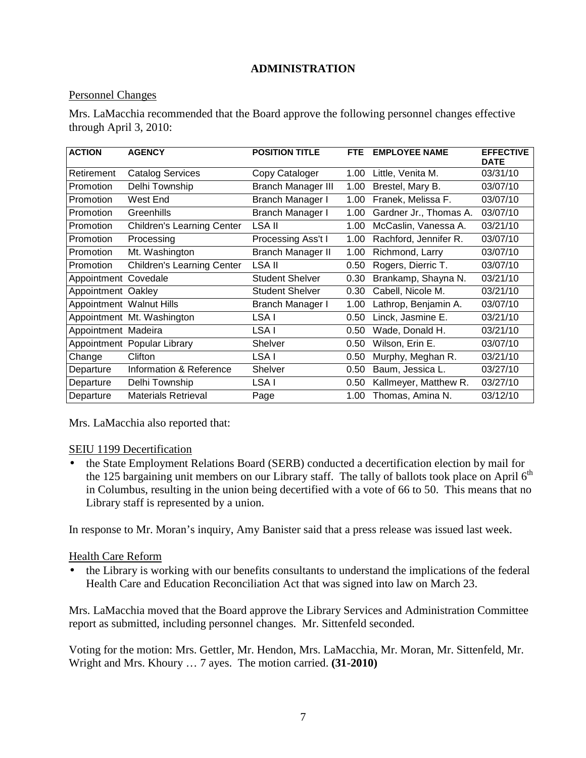# **ADMINISTRATION**

### Personnel Changes

Mrs. LaMacchia recommended that the Board approve the following personnel changes effective through April 3, 2010:

| <b>ACTION</b>            | <b>AGENCY</b>                     | <b>POSITION TITLE</b>     | <b>FTE</b> | <b>EMPLOYEE NAME</b>   | <b>EFFECTIVE</b><br><b>DATE</b> |
|--------------------------|-----------------------------------|---------------------------|------------|------------------------|---------------------------------|
| Retirement               | <b>Catalog Services</b>           | Copy Cataloger            | 1.00       | Little, Venita M.      | 03/31/10                        |
| Promotion                | Delhi Township                    | <b>Branch Manager III</b> | 1.00       | Brestel, Mary B.       | 03/07/10                        |
| Promotion                | West End                          | <b>Branch Manager I</b>   | 1.00       | Franek, Melissa F.     | 03/07/10                        |
| Promotion                | Greenhills                        | Branch Manager I          | 1.00       | Gardner Jr., Thomas A. | 03/07/10                        |
| Promotion                | <b>Children's Learning Center</b> | LSA II                    | 1.00       | McCaslin, Vanessa A.   | 03/21/10                        |
| Promotion                | Processing                        | Processing Ass't I        | 1.00       | Rachford, Jennifer R.  | 03/07/10                        |
| Promotion                | Mt. Washington                    | <b>Branch Manager II</b>  | 1.00       | Richmond, Larry        | 03/07/10                        |
| Promotion                | <b>Children's Learning Center</b> | LSA II                    | 0.50       | Rogers, Dierric T.     | 03/07/10                        |
| Appointment Covedale     |                                   | Student Shelver           | 0.30       | Brankamp, Shayna N.    | 03/21/10                        |
| Appointment Oakley       |                                   | <b>Student Shelver</b>    | 0.30       | Cabell, Nicole M.      | 03/21/10                        |
| Appointment Walnut Hills |                                   | Branch Manager I          | 1.00       | Lathrop, Benjamin A.   | 03/07/10                        |
|                          | Appointment Mt. Washington        | LSA I                     | 0.50       | Linck, Jasmine E.      | 03/21/10                        |
| Appointment Madeira      |                                   | LSA I                     | 0.50       | Wade, Donald H.        | 03/21/10                        |
|                          | Appointment Popular Library       | Shelver                   | 0.50       | Wilson, Erin E.        | 03/07/10                        |
| Change                   | Clifton                           | LSA I                     | 0.50       | Murphy, Meghan R.      | 03/21/10                        |
| Departure                | Information & Reference           | Shelver                   | 0.50       | Baum, Jessica L.       | 03/27/10                        |
| Departure                | Delhi Township                    | LSA I                     | 0.50       | Kallmeyer, Matthew R.  | 03/27/10                        |
| Departure                | <b>Materials Retrieval</b>        | Page                      | 1.00       | Thomas, Amina N.       | 03/12/10                        |

Mrs. LaMacchia also reported that:

#### SEIU 1199 Decertification

• the State Employment Relations Board (SERB) conducted a decertification election by mail for the 125 bargaining unit members on our Library staff. The tally of ballots took place on April  $6<sup>th</sup>$ in Columbus, resulting in the union being decertified with a vote of 66 to 50. This means that no Library staff is represented by a union.

In response to Mr. Moran's inquiry, Amy Banister said that a press release was issued last week.

#### Health Care Reform

• the Library is working with our benefits consultants to understand the implications of the federal Health Care and Education Reconciliation Act that was signed into law on March 23.

Mrs. LaMacchia moved that the Board approve the Library Services and Administration Committee report as submitted, including personnel changes. Mr. Sittenfeld seconded.

Voting for the motion: Mrs. Gettler, Mr. Hendon, Mrs. LaMacchia, Mr. Moran, Mr. Sittenfeld, Mr. Wright and Mrs. Khoury … 7 ayes. The motion carried. **(31-2010)**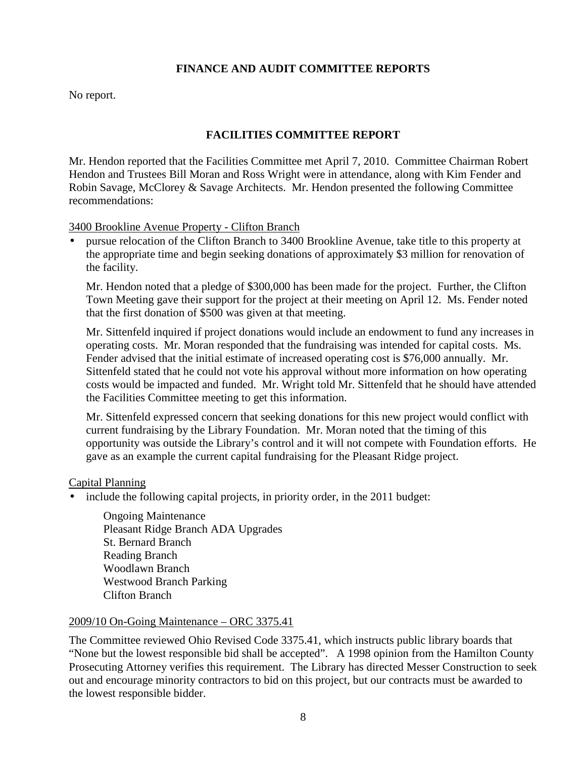## **FINANCE AND AUDIT COMMITTEE REPORTS**

No report.

# **FACILITIES COMMITTEE REPORT**

Mr. Hendon reported that the Facilities Committee met April 7, 2010. Committee Chairman Robert Hendon and Trustees Bill Moran and Ross Wright were in attendance, along with Kim Fender and Robin Savage, McClorey & Savage Architects. Mr. Hendon presented the following Committee recommendations:

3400 Brookline Avenue Property - Clifton Branch

• pursue relocation of the Clifton Branch to 3400 Brookline Avenue, take title to this property at the appropriate time and begin seeking donations of approximately \$3 million for renovation of the facility.

Mr. Hendon noted that a pledge of \$300,000 has been made for the project. Further, the Clifton Town Meeting gave their support for the project at their meeting on April 12. Ms. Fender noted that the first donation of \$500 was given at that meeting.

Mr. Sittenfeld inquired if project donations would include an endowment to fund any increases in operating costs. Mr. Moran responded that the fundraising was intended for capital costs. Ms. Fender advised that the initial estimate of increased operating cost is \$76,000 annually. Mr. Sittenfeld stated that he could not vote his approval without more information on how operating costs would be impacted and funded. Mr. Wright told Mr. Sittenfeld that he should have attended the Facilities Committee meeting to get this information.

Mr. Sittenfeld expressed concern that seeking donations for this new project would conflict with current fundraising by the Library Foundation. Mr. Moran noted that the timing of this opportunity was outside the Library's control and it will not compete with Foundation efforts. He gave as an example the current capital fundraising for the Pleasant Ridge project.

#### Capital Planning

• include the following capital projects, in priority order, in the 2011 budget:

Ongoing Maintenance Pleasant Ridge Branch ADA Upgrades St. Bernard Branch Reading Branch Woodlawn Branch Westwood Branch Parking Clifton Branch

#### 2009/10 On-Going Maintenance – ORC 3375.41

The Committee reviewed Ohio Revised Code 3375.41, which instructs public library boards that "None but the lowest responsible bid shall be accepted". A 1998 opinion from the Hamilton County Prosecuting Attorney verifies this requirement. The Library has directed Messer Construction to seek out and encourage minority contractors to bid on this project, but our contracts must be awarded to the lowest responsible bidder.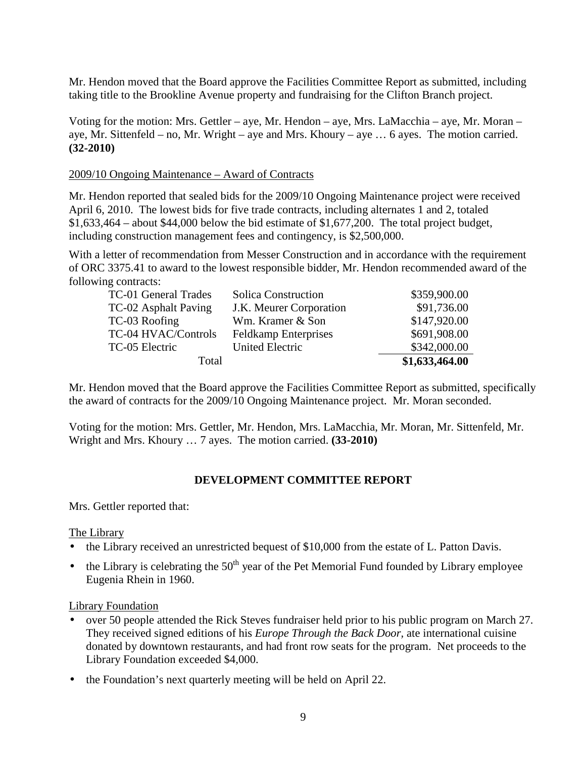Mr. Hendon moved that the Board approve the Facilities Committee Report as submitted, including taking title to the Brookline Avenue property and fundraising for the Clifton Branch project.

Voting for the motion: Mrs. Gettler – aye, Mr. Hendon – aye, Mrs. LaMacchia – aye, Mr. Moran – aye, Mr. Sittenfeld – no, Mr. Wright – aye and Mrs. Khoury – aye … 6 ayes. The motion carried. **(32-2010)**

### 2009/10 Ongoing Maintenance – Award of Contracts

Mr. Hendon reported that sealed bids for the 2009/10 Ongoing Maintenance project were received April 6, 2010. The lowest bids for five trade contracts, including alternates 1 and 2, totaled  $$1,633,464$  – about \$44,000 below the bid estimate of \$1,677,200. The total project budget, including construction management fees and contingency, is \$2,500,000.

With a letter of recommendation from Messer Construction and in accordance with the requirement of ORC 3375.41 to award to the lowest responsible bidder, Mr. Hendon recommended award of the following contracts:

| Total                |                             | \$1,633,464.00 |
|----------------------|-----------------------------|----------------|
| TC-05 Electric       | <b>United Electric</b>      | \$342,000.00   |
| TC-04 HVAC/Controls  | <b>Feldkamp Enterprises</b> | \$691,908.00   |
| TC-03 Roofing        | Wm. Kramer & Son            | \$147,920.00   |
| TC-02 Asphalt Paving | J.K. Meurer Corporation     | \$91,736.00    |
| TC-01 General Trades | <b>Solica Construction</b>  | \$359,900.00   |

Mr. Hendon moved that the Board approve the Facilities Committee Report as submitted, specifically the award of contracts for the 2009/10 Ongoing Maintenance project. Mr. Moran seconded.

Voting for the motion: Mrs. Gettler, Mr. Hendon, Mrs. LaMacchia, Mr. Moran, Mr. Sittenfeld, Mr. Wright and Mrs. Khoury … 7 ayes. The motion carried. **(33-2010)**

### **DEVELOPMENT COMMITTEE REPORT**

Mrs. Gettler reported that:

The Library

- the Library received an unrestricted bequest of \$10,000 from the estate of L. Patton Davis.
- the Library is celebrating the  $50<sup>th</sup>$  year of the Pet Memorial Fund founded by Library employee Eugenia Rhein in 1960.

Library Foundation

- over 50 people attended the Rick Steves fundraiser held prior to his public program on March 27. They received signed editions of his *Europe Through the Back Door,* ate international cuisine donated by downtown restaurants, and had front row seats for the program. Net proceeds to the Library Foundation exceeded \$4,000.
- the Foundation's next quarterly meeting will be held on April 22.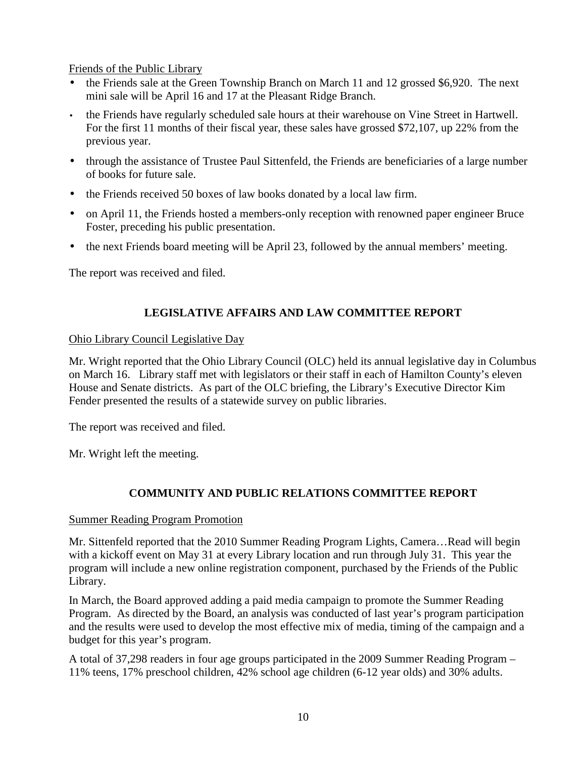Friends of the Public Library

- the Friends sale at the Green Township Branch on March 11 and 12 grossed \$6,920. The next mini sale will be April 16 and 17 at the Pleasant Ridge Branch.
- the Friends have regularly scheduled sale hours at their warehouse on Vine Street in Hartwell. For the first 11 months of their fiscal year, these sales have grossed \$72,107, up 22% from the previous year.
- through the assistance of Trustee Paul Sittenfeld, the Friends are beneficiaries of a large number of books for future sale.
- the Friends received 50 boxes of law books donated by a local law firm.
- on April 11, the Friends hosted a members-only reception with renowned paper engineer Bruce Foster, preceding his public presentation.
- the next Friends board meeting will be April 23, followed by the annual members' meeting.

The report was received and filed.

# **LEGISLATIVE AFFAIRS AND LAW COMMITTEE REPORT**

### Ohio Library Council Legislative Day

Mr. Wright reported that the Ohio Library Council (OLC) held its annual legislative day in Columbus on March 16. Library staff met with legislators or their staff in each of Hamilton County's eleven House and Senate districts. As part of the OLC briefing, the Library's Executive Director Kim Fender presented the results of a statewide survey on public libraries.

The report was received and filed.

Mr. Wright left the meeting.

# **COMMUNITY AND PUBLIC RELATIONS COMMITTEE REPORT**

### Summer Reading Program Promotion

Mr. Sittenfeld reported that the 2010 Summer Reading Program Lights, Camera…Read will begin with a kickoff event on May 31 at every Library location and run through July 31. This year the program will include a new online registration component, purchased by the Friends of the Public Library.

In March, the Board approved adding a paid media campaign to promote the Summer Reading Program. As directed by the Board, an analysis was conducted of last year's program participation and the results were used to develop the most effective mix of media, timing of the campaign and a budget for this year's program.

A total of 37,298 readers in four age groups participated in the 2009 Summer Reading Program – 11% teens, 17% preschool children, 42% school age children (6-12 year olds) and 30% adults.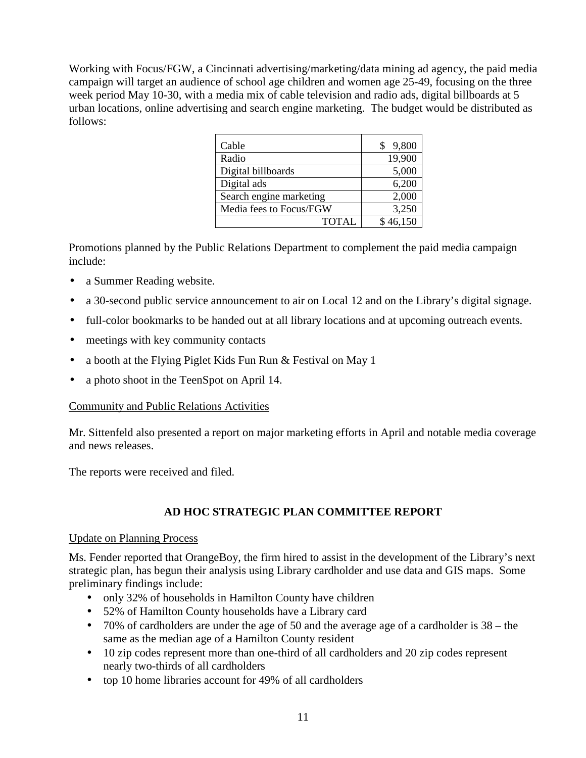Working with Focus/FGW, a Cincinnati advertising/marketing/data mining ad agency, the paid media campaign will target an audience of school age children and women age 25-49, focusing on the three week period May 10-30, with a media mix of cable television and radio ads, digital billboards at 5 urban locations, online advertising and search engine marketing. The budget would be distributed as follows:

| Cable                   | 9,800    |
|-------------------------|----------|
| Radio                   | 19,900   |
| Digital billboards      | 5,000    |
| Digital ads             | 6,200    |
| Search engine marketing | 2,000    |
| Media fees to Focus/FGW | 3,250    |
| <b>TOTAL</b>            | \$46,150 |

Promotions planned by the Public Relations Department to complement the paid media campaign include:

- a Summer Reading website.
- a 30-second public service announcement to air on Local 12 and on the Library's digital signage.
- full-color bookmarks to be handed out at all library locations and at upcoming outreach events.
- meetings with key community contacts
- a booth at the Flying Piglet Kids Fun Run & Festival on May 1
- a photo shoot in the TeenSpot on April 14.

### Community and Public Relations Activities

Mr. Sittenfeld also presented a report on major marketing efforts in April and notable media coverage and news releases.

The reports were received and filed.

# **AD HOC STRATEGIC PLAN COMMITTEE REPORT**

#### Update on Planning Process

Ms. Fender reported that OrangeBoy, the firm hired to assist in the development of the Library's next strategic plan, has begun their analysis using Library cardholder and use data and GIS maps. Some preliminary findings include:

- only 32% of households in Hamilton County have children
- 52% of Hamilton County households have a Library card
- 70% of cardholders are under the age of 50 and the average age of a cardholder is 38 the same as the median age of a Hamilton County resident
- 10 zip codes represent more than one-third of all cardholders and 20 zip codes represent nearly two-thirds of all cardholders
- top 10 home libraries account for 49% of all cardholders